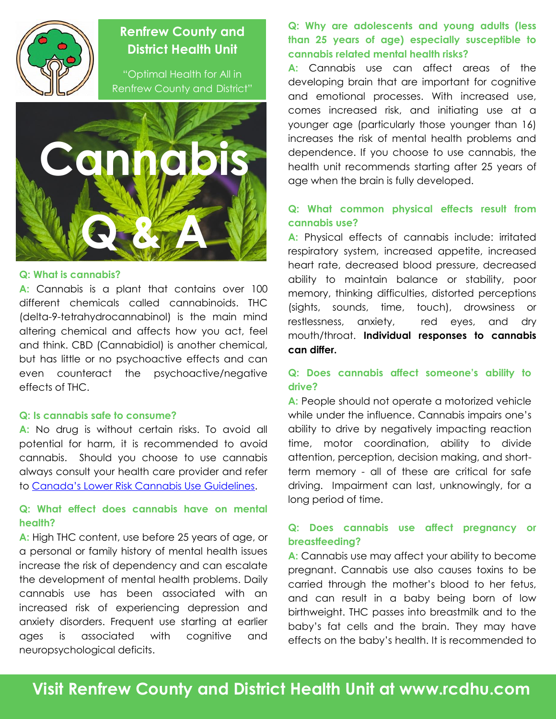

## **Renfrew County and District Health Unit**

"Optimal Health for All in Renfrew County and District"



#### **Q: What is cannabis?**

**A:** Cannabis is a plant that contains over 100 different chemicals called cannabinoids. THC (delta-9-tetrahydrocannabinol) is the main mind altering chemical and affects how you act, feel and think. CBD (Cannabidiol) is another chemical, but has little or no psychoactive effects and can even counteract the psychoactive/negative effects of THC.

#### **Q: Is cannabis safe to consume?**

**A:** No drug is without certain risks. To avoid all potential for harm, it is recommended to avoid cannabis. Should you choose to use cannabis always consult your health care provider and refer to [Canada's Lower Risk Cannabis Use G](https://www.camh.ca/-/media/files/pdfs---reports-and-books---research/canadas-lower-risk-guidelines-cannabis-pdf.pdf)uidelines.

#### **Q: What effect does cannabis have on mental health?**

**A:** High THC content, use before 25 years of age, or a personal or family history of mental health issues increase the risk of dependency and can escalate the development of mental health problems. Daily cannabis use has been associated with an increased risk of experiencing depression and anxiety disorders. Frequent use starting at earlier ages is associated with cognitive and neuropsychological deficits.

**Q: Why are adolescents and young adults (less than 25 years of age) especially susceptible to cannabis related mental health risks?**

**A:** Cannabis use can affect areas of the developing brain that are important for cognitive and emotional processes. With increased use, comes increased risk, and initiating use at a younger age (particularly those younger than 16) increases the risk of mental health problems and dependence. If you choose to use cannabis, the health unit recommends starting after 25 years of age when the brain is fully developed.

#### **Q: What common physical effects result from cannabis use?**

**A:** Physical effects of cannabis include: irritated respiratory system, increased appetite, increased heart rate, decreased blood pressure, decreased ability to maintain balance or stability, poor memory, thinking difficulties, distorted perceptions (sights, sounds, time, touch), drowsiness or restlessness, anxiety, red eyes, and dry mouth/throat. **Individual responses to cannabis can differ.** 

#### **Q: Does cannabis affect someone's ability to drive?**

A: People should not operate a motorized vehicle while under the influence. Cannabis impairs one's ability to drive by negatively impacting reaction time, motor coordination, ability to divide attention, perception, decision making, and shortterm memory - all of these are critical for safe driving. Impairment can last, unknowingly, for a long period of time.

### **Q: Does cannabis use affect pregnancy or breastfeeding?**

**A:** Cannabis use may affect your ability to become pregnant. Cannabis use also causes toxins to be carried through the mother's blood to her fetus, and can result in a baby being born of low birthweight. THC passes into breastmilk and to the baby's fat cells and the brain. They may have effects on the baby's health. It is recommended to